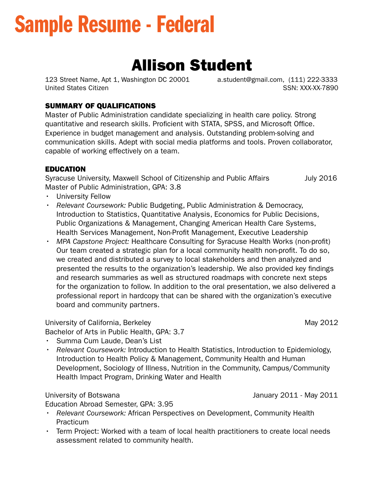# Sample Resume - Federal

# Allison Student

United States Citizen Superintensity of the SSN: XXX-XX-7890 123 Street Name, Apt 1, Washington DC 20001 a.student@gmail.com, (111) 222-3333

# SUMMARY OF QUALIFICATIONS

Master of Public Administration candidate specializing in health care policy. Strong quantitative and research skills. Proficient with STATA, SPSS, and Microsoft Office. Experience in budget management and analysis. Outstanding problem-solving and communication skills. Adept with social media platforms and tools. Proven collaborator, capable of working effectively on a team.

# EDUCATION

Syracuse University, Maxwell School of Citizenship and Public Affairs July 2016 Master of Public Administration, GPA: 3.8

- University Fellow
- *Relevant Coursework:* Public Budgeting, Public Administration & Democracy, Introduction to Statistics, Quantitative Analysis, Economics for Public Decisions, Public Organizations & Management, Changing American Health Care Systems, Health Services Management, Non-Proft Management, Executive Leadership
- *MPA Capstone Project:* Healthcare Consulting for Syracuse Health Works (non-proft) Our team created a strategic plan for a local community health non-proft. To do so, we created and distributed a survey to local stakeholders and then analyzed and presented the results to the organization's leadership. We also provided key fndings and research summaries as well as structured roadmaps with concrete next steps for the organization to follow. In addition to the oral presentation, we also delivered a professional report in hardcopy that can be shared with the organization's executive board and community partners.

# University of California, Berkeley May 2012

Bachelor of Arts in Public Health, GPA: 3.7

January 2011 - May 2011

- Summa Cum Laude, Dean's List
- *Relevant Coursework:* Introduction to Health Statistics, Introduction to Epidemiology, Introduction to Health Policy & Management, Community Health and Human Development, Sociology of Illness, Nutrition in the Community, Campus/Community Health Impact Program, Drinking Water and Health

# University of Botswana

Education Abroad Semester, GPA: 3.95

- *Relevant Coursework:* African Perspectives on Development, Community Health Practicum
- Term Project: Worked with a team of local health practitioners to create local needs assessment related to community health.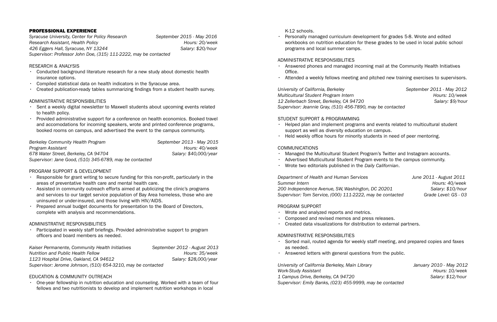# PROFESSIONAL EXPERIENCE

Syracuse University, Center for Policy Research **September 2015** - May 2016 Research Assistant, Health Policy **Accord Accord Policy** Hours: 20/week 426 Eggers Hall, Syracuse, NY 13244 Salary: \$20/hour *Supervisor: Professor John Doe, (315) 111-2222, may be contacted* 

#### RESEARCH & ANALYSIS

- Conducted background literature research for a new study about domestic health insurance options.
- Compiled statistical data on health indicators in the Syracuse area.
- Created publication-ready tables summarizing fndings from a student health survey.

#### ADMINISTRATIVE RESPONSIBILITIES

- Sent a weekly digital newsletter to Maxwell students about upcoming events related to health policy.
- Provided administrative support for a conference on health economics. Booked travel and accomodations for incoming speakers, wrote and printed conference programs, booked rooms on campus, and advertised the event to the campus community.

• Participated in weekly staff briefngs. Provided administrative support to program officers and board members as needed.

*Nutrition and Public Health Fellow* And Account 25/week **Hours: 35/week** 1123 Hospital Drive, Oakland, CA 94612 Salary: \$28,000/year *Kaiser Permanente, Community Health Initiatives September 2012 - August 2013 Supervisor: Jerome Johnson, (510) 654-3210, may be contacted* 

| Berkeley Community Health Program                       | September 2013 - May 2015 |
|---------------------------------------------------------|---------------------------|
| Program Assistant                                       | Hours: 40/week            |
| 678 Water Street, Berkeley, CA 94704                    | Salary: \$40,000/year     |
| Supervisor: Jane Good, (510) 345-6789, may be contacted |                           |

# PROGRAM SUPPORT & DEVELOPMENT

- Responsible for grant writing to secure funding for this non-proft, particularly in the areas of preventative health care and mental health care.
- Assisted in community outreach efforts aimed at publicizing the clinic's programs and services to our target service population of Bay Area homeless, those who are uninsured or under-insured, and those living with HIV/AIDS.
- Prepared annual budget documents for presentation to the Board of Directors, complete with analysis and recommendations.

12 Zellerbach Street, Berkeley, CA 94720 Salary: \$9/hour *University of California, Berkeley* September 2011 - May 2012 *Multicultural Student Program Intern* and the state of the Hours: 10/week *Supervisor: Jeannie Gray, (510) 456-7890, may be contacted* 

- support as well as diversity education on campus.
- $\cdot$  Held weekly office hours for minority students in need of peer mentoring.

# ADMINISTRATIVE RESPONSIBILITIES

Department of Health and Human Services *June 2011* - August 2011 Supervisor: Tom Service, (000) 111-2222, may be contacted Grade Level: GS - 03 *Hours: 40/week 200 Independence Avenue, SW, Washington, DC 20201 Salary: \$10/hour* 

# EDUCATION & COMMUNITY OUTREACH

• One-year fellowship in nutrition education and counseling. Worked with a team of four fellows and two nutritionists to develop and implement nutrition workshops in local

K-12 schools.

• Personally managed curriculum development for grades 5-8. Wrote and edited programs and local summer camps.

workbooks on nutrition education for these grades to be used in local public school

#### ADMINISTRATIVE RESPONSIBILITIES

- Office.
- 

• Answered phones and managed incoming mail at the Community Health Initiatives

• Attended a weekly fellows meeting and pitched new training exercises to supervisors.

# STUDENT SUPPORT & PROGRAMMING

• Helped plan and implement programs and events related to multicultural student

#### COMMUNICATIONS

- Managed the Multicultural Student Program's Twitter and Instagram accounts.
- Advertised Mutlicultural Student Program events to the campus community.
- Wrote two editorials published in the *Daily Californian*.

**Summer Intern** 

#### PROGRAM SUPPORT

- Wrote and analyzed reports and metrics.
- Composed and revised memos and press releases.
- Created data visualizations for distribution to external partners.

# ADMINISTRATIVE RESPONSIBILITIES

• Sorted mail, routed agenda for weekly staff meeting, and prepared copies and faxes

- as needed.
- Answered letters with general questions from the public.

University of California Berkeley, Main Library **Frank Communist Containery 2010** - May 2012 *Work-Study Assistant Assistant Phone <b>Election Phone <i>Election Collection Assistant Assistant Assistant Assistant Assistant Assistant Assistant Assistant Assistant Assistan* 

1 Campus Drive, Berkeley, CA 94720 Salary: \$12/hour

*Supervisor: Emily Banks, (023) 455-9999, may be contacted*